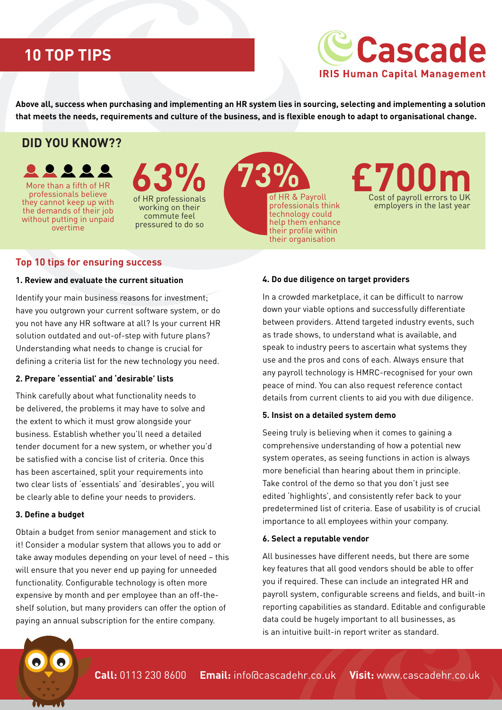# **10 TOP TIPS**

# **Cascade IRIS Human Capital Management**

**Above all, success when purchasing and implementing an HR system lies in sourcing, selecting and implementing a solution that meets the needs, requirements and culture of the business, and is flexible enough to adapt to organisational change.** 

## **DID YOU KNOW??**

they cannot keep up with More than a fifth of HR **Professionals believe 63%** the demands of their job without putting in unpaid overtime

of HR professionals working on their commute feel pressured to do so



professionals think technology could help them enhance their profile within their organisation



## **Top 10 tips for ensuring success**

#### **1. Review and evaluate the current situation**

Identify your main business reasons for investment; have you outgrown your current software system, or do you not have any HR software at all? Is your current HR solution outdated and out-of-step with future plans? Understanding what needs to change is crucial for defining a criteria list for the new technology you need.

#### **2. Prepare 'essential' and 'desirable' lists**

Think carefully about what functionality needs to be delivered, the problems it may have to solve and the extent to which it must grow alongside your business. Establish whether you'll need a detailed tender document for a new system, or whether you'd be satisfied with a concise list of criteria. Once this has been ascertained, split your requirements into two clear lists of 'essentials' and 'desirables', you will be clearly able to define your needs to providers.

#### **3. Define a budget**

Obtain a budget from senior management and stick to it! Consider a modular system that allows you to add or take away modules depending on your level of need – this will ensure that you never end up paying for unneeded functionality. Configurable technology is often more expensive by month and per employee than an off-theshelf solution, but many providers can offer the option of paying an annual subscription for the entire company.

#### **4. Do due diligence on target providers**

In a crowded marketplace, it can be difficult to narrow down your viable options and successfully differentiate between providers. Attend targeted industry events, such as trade shows, to understand what is available, and speak to industry peers to ascertain what systems they use and the pros and cons of each. Always ensure that any payroll technology is HMRC-recognised for your own peace of mind. You can also request reference contact details from current clients to aid you with due diligence.

#### **5. Insist on a detailed system demo**

Seeing truly is believing when it comes to gaining a comprehensive understanding of how a potential new system operates, as seeing functions in action is always more beneficial than hearing about them in principle. Take control of the demo so that you don't just see edited 'highlights', and consistently refer back to your predetermined list of criteria. Ease of usability is of crucial importance to all employees within your company.

#### **6. Select a reputable vendor**

All businesses have different needs, but there are some key features that all good vendors should be able to offer you if required. These can include an integrated HR and payroll system, configurable screens and fields, and built-in reporting capabilities as standard. Editable and configurable data could be hugely important to all businesses, as is an intuitive built-in report writer as standard.